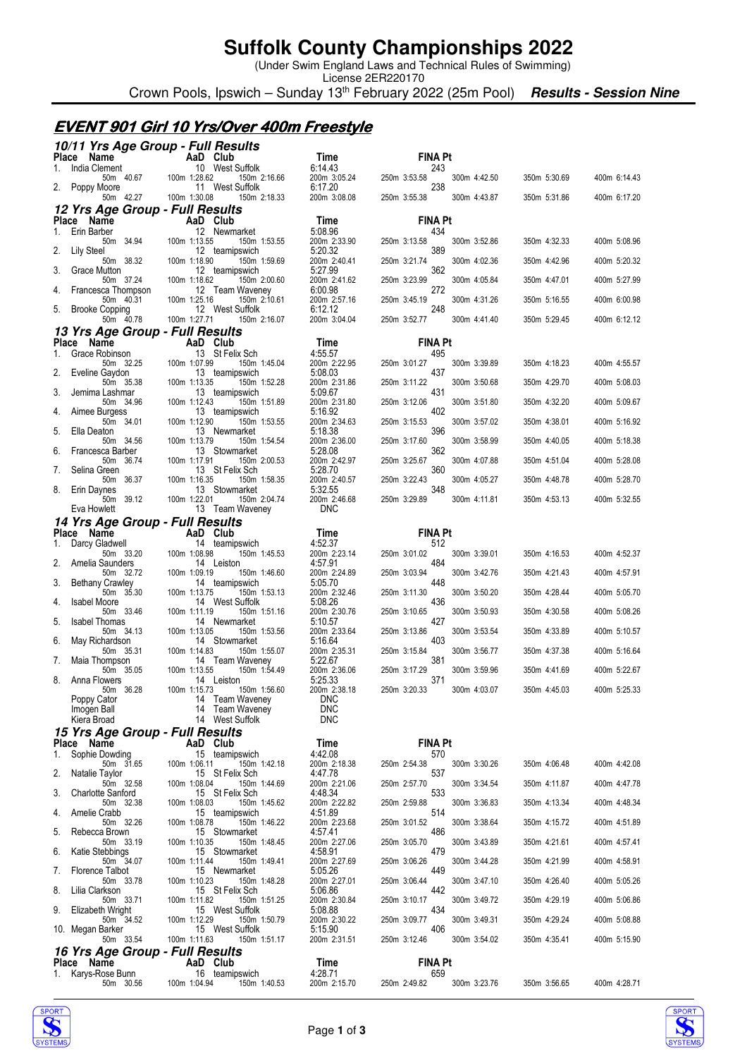### **Suffolk County Championships 2022**

(Under Swim England Laws and Technical Rules of Swimming)

License 2ER220170 Crown Pools, Ipswich – Sunday 13<sup>th</sup> February 2022 (25m Pool) **Results - Session Nine** 

#### **EVENT 901 Girl 10 Yrs/Over 400m Freestyle**

|  |  | 10/11 Yrs Age Group - Full Results |
|--|--|------------------------------------|
|  |  |                                    |

| Place Name                                     | AaD Club                                        | Time                       | <b>FINA Pt</b>                      |              |              |
|------------------------------------------------|-------------------------------------------------|----------------------------|-------------------------------------|--------------|--------------|
| India Clement<br>50m 40.67                     | 10 West Suffolk<br>100m 1:28.62<br>150m 2:16.66 | 6:14.43<br>200m 3:05.24    | 243<br>250m 3:53.58<br>300m 4:42.50 | 350m 5:30.69 | 400m 6:14.43 |
| Poppy Moore<br>2.<br>50m 42.27                 | 11 West Suffolk<br>100m 1:30.08<br>150m 2:18.33 | 6:17.20<br>200m 3:08.08    | 238<br>250m 3:55.38<br>300m 4:43.87 | 350m 5:31.86 | 400m 6:17.20 |
| 12 Yrs Age Group - Full Results                |                                                 |                            |                                     |              |              |
| Place Name                                     | AaD Club                                        | Time                       | <b>FINA Pt</b>                      |              |              |
| Erin Barber<br>1.<br>50m 34.94                 | 12 Newmarket<br>100m 1:13.55<br>150m 1:53.55    | 5:08.96<br>200m 2:33.90    | 434<br>250m 3:13.58<br>300m 3:52.86 | 350m 4:32.33 | 400m 5:08.96 |
| 2.<br>Lily Steel<br>50m 38.32                  | 12 teamipswich<br>100m 1:18.90<br>150m 1:59.69  | 5:20.32<br>200m 2:40.41    | 389<br>250m 3:21.74<br>300m 4:02.36 | 350m 4:42.96 | 400m 5:20.32 |
| 3.<br>Grace Mutton                             | 12 teamipswich                                  | 5:27.99                    | 362                                 |              |              |
| 50m 37.24<br>Francesca Thompson<br>4.          | 100m 1:18.62<br>150m 2:00.60<br>12 Team Waveney | 200m 2:41.62<br>6:00.98    | 250m 3:23.99<br>300m 4:05.84<br>272 | 350m 4:47.01 | 400m 5:27.99 |
| 50m 40.31<br><b>Brooke Copping</b><br>5.       | 100m 1:25.16<br>150m 2:10.61<br>12 West Suffolk | 200m 2:57.16<br>6:12.12    | 250m 3:45.19<br>300m 4:31.26<br>248 | 350m 5:16.55 | 400m 6:00.98 |
| 50m 40.78                                      | 100m 1:27.71<br>150m 2:16.07                    | 200m 3:04.04               | 250m 3:52.77<br>300m 4:41.40        | 350m 5:29.45 | 400m 6:12.12 |
| 13 Yrs Age Group - Full Results<br>Place Name  | AaD Club                                        | Time                       | <b>FINA Pt</b>                      |              |              |
| Grace Robinson<br>1.                           | 13 St Felix Sch                                 | 4:55.57                    | 495                                 |              |              |
| 50m 32.25<br>Eveline Gaydon<br>2.              | 100m 1:07.99<br>150m 1:45.04<br>13 teamipswich  | 200m 2:22.95<br>5:08.03    | 250m 3:01.27<br>300m 3:39.89<br>437 | 350m 4:18.23 | 400m 4:55.57 |
| 50m 35.38<br>3.<br>Jemima Lashmar              | 100m 1:13.35<br>150m 1:52.28<br>13 teamipswich  | 200m 2:31.86<br>5:09.67    | 250m 3:11.22<br>300m 3:50.68<br>431 | 350m 4:29.70 | 400m 5:08.03 |
| 50m 34.96                                      | 100m 1:12.43<br>150m 1:51.89                    | 200m 2:31.80               | 250m 3:12.06<br>300m 3:51.80        | 350m 4:32.20 | 400m 5:09.67 |
| Aimee Burgess<br>4.<br>50m 34.01               | 13 teamipswich<br>100m 1:12.90<br>150m 1:53.55  | 5:16.92<br>200m 2:34.63    | 402<br>250m 3:15.53<br>300m 3:57.02 | 350m 4:38.01 | 400m 5:16.92 |
| Ella Deaton<br>5.<br>50m 34.56                 | 13 Newmarket<br>100m 1:13.79<br>150m 1:54.54    | 5:18.38<br>200m 2:36.00    | 396<br>250m 3:17.60<br>300m 3:58.99 | 350m 4:40.05 | 400m 5:18.38 |
| Francesca Barber<br>6.                         | 13 Stowmarket                                   | 5:28.08                    | 362                                 |              |              |
| 50m 36.74<br>Selina Green<br>7.                | 150m 2:00.53<br>100m 1:17.91<br>13 St Felix Sch | 200m 2:42.97<br>5:28.70    | 250m 3:25.67<br>300m 4:07.88<br>360 | 350m 4:51.04 | 400m 5:28.08 |
| 50m 36.37<br>8.<br>Erin Daynes                 | 100m 1:16.35<br>150m 1:58.35<br>13 Stowmarket   | 200m 2:40.57<br>5:32.55    | 250m 3:22.43<br>300m 4:05.27<br>348 | 350m 4:48.78 | 400m 5:28.70 |
| 50m 39.12                                      | 100m 1:22.01<br>150m 2:04.74                    | 200m 2:46.68               | 250m 3:29.89<br>300m 4:11.81        | 350m 4:53.13 | 400m 5:32.55 |
| Eva Howlett<br>14 Yrs Age Group - Full Results | 13 Team Waveney                                 | <b>DNC</b>                 |                                     |              |              |
| Place Name                                     | AaD Club                                        | Time                       | <b>FINA Pt</b>                      |              |              |
| Darcy Gladwell<br>1.<br>50m 33.20              | 14 teamipswich<br>100m 1:08.98<br>150m 1:45.53  | 4:52.37<br>200m 2:23.14    | 512<br>250m 3:01.02<br>300m 3:39.01 | 350m 4:16.53 | 400m 4:52.37 |
| 2.<br>Amelia Saunders<br>50m 32.72             | 14 Leiston<br>100m 1:09.19<br>150m 1:46.60      | 4:57.91<br>200m 2:24.89    | 484<br>250m 3:03.94<br>300m 3:42.76 | 350m 4:21.43 | 400m 4:57.91 |
| 3.<br><b>Bethany Crawley</b>                   | 14 teamipswich                                  | 5:05.70                    | 448                                 |              |              |
| 50m 35.30<br>4.<br><b>Isabel Moore</b>         | 100m 1:13.75<br>150m 1:53.13<br>14 West Suffolk | 200m 2:32.46<br>5:08.26    | 250m 3:11.30<br>300m 3:50.20<br>436 | 350m 4:28.44 | 400m 5:05.70 |
| 50m 33.46<br>5.<br><b>Isabel Thomas</b>        | 100m 1:11.19<br>150m 1:51.16<br>14 Newmarket    | 200m 2:30.76<br>5:10.57    | 250m 3:10.65<br>300m 3:50.93<br>427 | 350m 4:30.58 | 400m 5:08.26 |
| 50m 34.13                                      | 100m 1:13.05<br>150m 1:53.56                    | 200m 2:33.64               | 250m 3:13.86<br>300m 3:53.54        | 350m 4:33.89 | 400m 5:10.57 |
| 6.<br>May Richardson<br>50m 35.31              | 14 Stowmarket<br>100m 1:14.83<br>150m 1:55.07   | 5:16.64<br>200m 2:35.31    | 403<br>250m 3:15.84<br>300m 3:56.77 | 350m 4:37.38 | 400m 5:16.64 |
| 7.<br>Maia Thompson<br>50m 35.05               | 14 Team Waveney<br>100m 1:13.55<br>150m 1:54.49 | 5:22.67<br>200m 2:36.06    | 381<br>250m 3:17.29<br>300m 3:59.96 | 350m 4:41.69 | 400m 5:22.67 |
| Anna Flowers<br>8.                             | 14 Leiston                                      | 5:25.33                    | 371                                 |              |              |
| 50m 36.28<br>Poppy Cator                       | 100m 1:15.73<br>150m 1:56.60<br>14 Team Waveney | 200m 2:38.18<br><b>DNC</b> | 250m 3:20.33<br>300m 4:03.07        | 350m 4:45.03 | 400m 5:25.33 |
| Imogen Ball<br>Kiera Broad                     | 14 Team Waveney<br>14 West Suffolk              | <b>DNC</b><br><b>DNC</b>   |                                     |              |              |
| 15 Yrs Age Group - Full Results                |                                                 |                            |                                     |              |              |
| Name<br><b>Place</b><br>Sophie Dowding<br>1.   | AaD Club<br>15 teamipswich                      | Time<br>4:42.08            | <b>FINA Pt</b><br>570               |              |              |
| 50m 31.65                                      | 100m 1:06.11<br>150m 1:42.18                    | 200m 2:18.38               | 300m 3:30.26<br>250m 2:54.38        | 350m 4:06.48 | 400m 4:42.08 |
| Natalie Taylor<br>2.<br>50m 32.58              | 15 St Felix Sch<br>100m 1:08.04<br>150m 1:44.69 | 4:47.78<br>200m 2:21.06    | 537<br>250m 2:57.70<br>300m 3:34.54 | 350m 4:11.87 | 400m 4:47.78 |
| <b>Charlotte Sanford</b><br>3.<br>50m 32.38    | 15 St Felix Sch<br>100m 1:08.03<br>150m 1:45.62 | 4:48.34<br>200m 2:22.82    | 533<br>250m 2:59.88<br>300m 3:36.83 | 350m 4:13.34 | 400m 4:48.34 |
| Amelie Crabb<br>4.                             | 15 teamipswich                                  | 4:51.89                    | 514                                 |              |              |
| 50m 32.26<br>Rebecca Brown<br>5.               | 100m 1:08.78<br>150m 1:46.22<br>15 Stowmarket   | 200m 2:23.68<br>4:57.41    | 250m 3:01.52<br>300m 3:38.64<br>486 | 350m 4:15.72 | 400m 4:51.89 |
| 50m 33.19<br>Katie Stebbings<br>6.             | 100m 1:10.35<br>150m 1:48.45<br>15 Stowmarket   | 200m 2:27.06<br>4:58.91    | 250m 3:05.70<br>300m 3:43.89<br>479 | 350m 4:21.61 | 400m 4:57.41 |
| 50m 34.07                                      | 100m 1:11.44<br>150m 1:49.41                    | 200m 2:27.69               | 250m 3:06.26<br>300m 3:44.28        | 350m 4:21.99 |              |
| Florence Talbot<br>7.<br>50m 33.78             | 15 Newmarket<br>100m 1:10.23<br>150m 1:48.28    | 5:05.26<br>200m 2:27.01    | 449<br>250m 3:06.44<br>300m 3:47.10 | 350m 4:26.40 | 400m 5:05.26 |
| 8.<br>Lilia Clarkson<br>50m 33.71              | 15 St Felix Sch<br>100m 1:11.82<br>150m 1:51.25 | 5:06.86<br>200m 2:30.84    | 442<br>300m 3:49.72<br>250m 3:10.17 | 350m 4:29.19 | 400m 5:06.86 |
| 9.<br>Elizabeth Wright                         | 15 West Suffolk                                 | 5:08.88                    | 434                                 |              |              |
| 50m 34.52<br>10. Megan Barker                  | 100m 1:12.29<br>150m 1:50.79<br>15 West Suffolk | 200m 2:30.22<br>5:15.90    | 250m 3:09.77<br>300m 3:49.31<br>406 | 350m 4:29.24 | 400m 5:08.88 |
| 50m 33.54                                      | 100m 1:11.63<br>150m 1:51.17                    | 200m 2:31.51               | 250m 3:12.46<br>300m 3:54.02        | 350m 4:35.41 | 400m 5:15.90 |
| 16 Yrs Age Group - Full Results<br>Place Name  | AaD Club                                        | Time                       | <b>FINA Pt</b>                      |              |              |
| 1. Karys-Rose Bunn<br>50m 30.56                | 16 teamipswich<br>100m 1:04.94<br>150m 1:40.53  | 4:28.71<br>200m 2:15.70    | 659<br>250m 2:49.82<br>300m 3:23.76 | 350m 3:56.65 | 400m 4:28.71 |
|                                                |                                                 |                            |                                     |              |              |



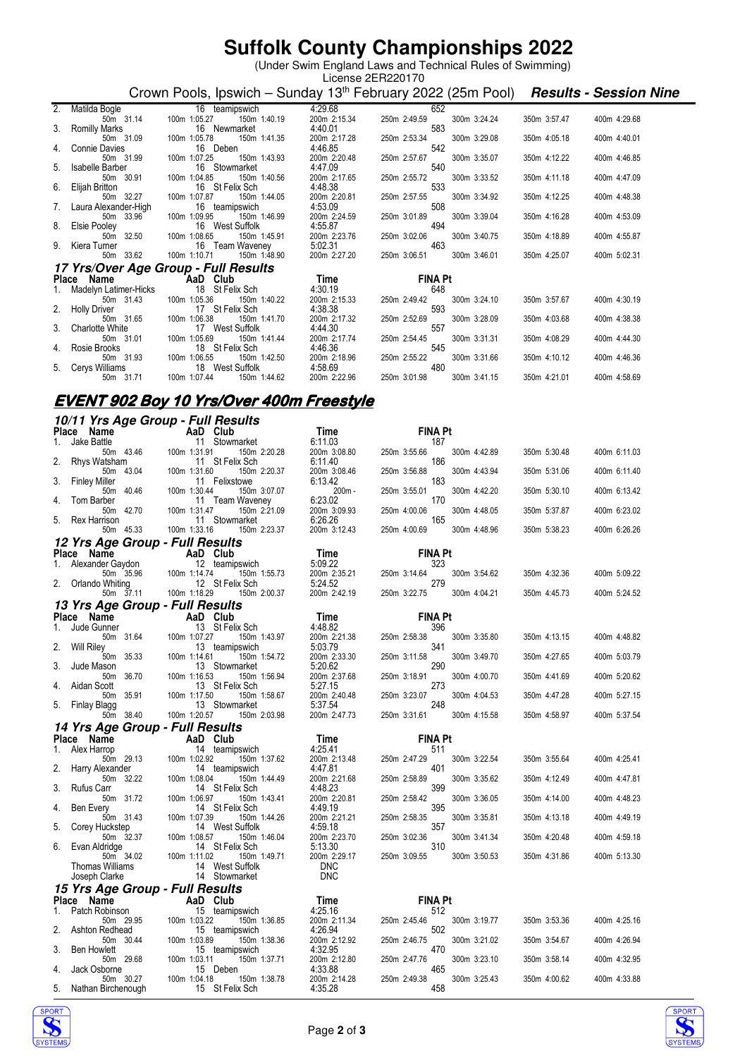# **Suffolk County Championships 2022**

 (Under Swim England Laws and Technical Rules of Swimming) License 2ER220170

Crown Pools, Ipswich – Sunday 13<sup>th</sup> February 2022 (25m Pool) **Results - Session Nine** 

|                                                                                                       | 2. Matilda Bogle 16 teamipswich<br>50m 31.14 100m 1:05.27 150m 1:40.19                                              | 4:29.68                                 | 652                                                      |              |              |
|-------------------------------------------------------------------------------------------------------|---------------------------------------------------------------------------------------------------------------------|-----------------------------------------|----------------------------------------------------------|--------------|--------------|
|                                                                                                       |                                                                                                                     | 200m 2:15.34                            | 300m 3:24.24<br>250m 2:49.59                             | 350m 3:57.47 | 400m 4:29.68 |
|                                                                                                       | 16 Newmarket                                                                                                        |                                         | 583                                                      |              |              |
| 3. Romilly Marks<br>50m 31.09<br>50m 31.09<br>50m 31.99<br>50m 31.99<br>50m 31.99<br>50m 100m 1:07.25 | 150m 1:41.35                                                                                                        | 4:40.01<br>200m 2:17.28 250m<br>4:46.85 | 250m 2:53.34<br>300m 3:29.08                             | 350m 4:05.18 | 400m 4:40.01 |
|                                                                                                       | 16 Deben                                                                                                            |                                         | 542                                                      |              |              |
|                                                                                                       | 150m 1:43.93                                                                                                        | 200m 2:20.48                            | 250m 2:57.67<br>300m 3:35.07                             | 350m 4:12.22 | 400m 4:46.85 |
|                                                                                                       | 16 Stowmarket                                                                                                       | 4:47.09                                 | 540                                                      |              |              |
| 5. Isabelle Barber<br>50m 30.91 100m 1:04.85<br>6. Elijah Britton 1:04.85 16 16 17                    | 150m 1:40.56                                                                                                        | 200m 2:17.65                            | 250m 2:55.72<br>300m 3:33.52                             | 350m 4:11.18 | 400m 4:47.09 |
|                                                                                                       | 16 St Felix Sch                                                                                                     | 4:48.38                                 | 533                                                      |              |              |
| 50m 32.27                                                                                             | 150m 1:44.05<br>100m 1:07.87                                                                                        | 200m 2:20.81                            | 250m 2:57.55<br>300m 3:34.92                             | 350m 4:12.25 | 400m 4:48.38 |
| 7. Laura Alexander-High                                                                               | 16 teamipswich                                                                                                      | 4:53.09                                 | 508                                                      |              |              |
|                                                                                                       | 50m 33.96 100m 1:09.95 150m 1:46.99                                                                                 | 200m 2:24.59                            | 250m 3:01.89<br>300m 3:39.04                             | 350m 4:16.28 | 400m 4:53.09 |
| 8. Elsie Pooley <b>Elsie Province Activity</b>                                                        | 16 West Suffolk                                                                                                     | 4:55.87                                 | 494                                                      |              |              |
|                                                                                                       | 100m 1:08.69 100m 1:08.65<br>9. Kiera Turner 12.65 100m 1:08.65 160m 1:45.91<br>50m 33.62 100m 1:10.71 150m 1:48.90 |                                         | 200m 2:23.76 250m 3:02.06<br>5:02.31 463<br>300m 3:40.75 | 350m 4:18.89 | 400m 4:55.87 |
|                                                                                                       |                                                                                                                     |                                         |                                                          |              |              |
|                                                                                                       |                                                                                                                     | 200m 2:27.20                            | 250m 3:06.51<br>300m 3:46.01                             | 350m 4:25.07 | 400m 5:02.31 |
|                                                                                                       | 17 Yrs/Over Age Group - Full Results                                                                                |                                         |                                                          |              |              |
|                                                                                                       | Place Name AaD Club                                                                                                 | Time                                    | <b>FINA Pt</b>                                           |              |              |
|                                                                                                       | 1. Madelyn Latimer-Hicks 18 St Felix Sch                                                                            | 4:30.19                                 | 648                                                      |              |              |
| 50m 31.43 100m 1:05.36                                                                                | 150m 1:40.22                                                                                                        | 200m 2:15.33                            | 300m 3:24.10<br>250m 2:49.42                             | 350m 3:57.67 | 400m 4:30.19 |
|                                                                                                       | 2. Holly Driver 17 St Felix Sch<br>50m 31.65 100m 1:06.38 150m                                                      | 4:38.38                                 | 593                                                      |              |              |
|                                                                                                       | 150m 1:41.70                                                                                                        | 200m 2:17.32                            | 250m 2:52.69<br>300m 3:28.09                             | 350m 4:03.68 | 400m 4:38.38 |
| an sa Ta<br>3. Charlotte White                                                                        | 17 West Suffolk                                                                                                     | 4:44.30                                 | 557                                                      |              |              |
|                                                                                                       | 50m 31.01 100m 1:05.69<br>150m 1:41.44                                                                              | 200m 2:17.74                            | 250m 2:54.45<br>300m 3:31.31                             | 350m 4:08.29 | 400m 4:44.30 |
|                                                                                                       | 4. Rosie Brooks 18 St Felix Sch                                                                                     | 4:46.36                                 | 545                                                      |              |              |
| 50m 31.93                                                                                             | 100m 1:06.55<br>150m 1:42.50                                                                                        | 200m 2:18.96 250m<br>4:58.69            | 250m 2:55.22<br>300m 3:31.66                             | 350m 4:10.12 | 400m 4:46.36 |
| 5. Cerys Williams                                                                                     | 18 West Suffolk                                                                                                     |                                         | 480                                                      |              |              |
| 50m 31.71                                                                                             | 100m 1:07.44 150m 1:44.62                                                                                           | 200m 2:22.96                            | 250m 3:01.98 300m 3:41.15                                | 350m 4:21.01 | 400m 4:58.69 |

#### **EVENT 902 Boy 10 Yrs/Over 400m Freestyle**

|    |                                                  | 10/11 Yrs Age Group - Full Results                                                                                                                                                                                                                                                                                                 |                            |                                     |              |              |
|----|--------------------------------------------------|------------------------------------------------------------------------------------------------------------------------------------------------------------------------------------------------------------------------------------------------------------------------------------------------------------------------------------|----------------------------|-------------------------------------|--------------|--------------|
|    | Place Name                                       | $\overline{A}$ and $\overline{C}$ and $\overline{C}$ and $\overline{C}$ and $\overline{C}$ and $\overline{C}$ and $\overline{C}$ and $\overline{C}$ and $\overline{C}$ and $\overline{C}$ and $\overline{C}$ and $\overline{C}$ and $\overline{C}$ and $\overline{C}$ and $\overline{C}$ and $\overline{C}$ and $\overline{C}$ and | Time                       | <b>FINA Pt</b>                      |              |              |
| 1. | Jake Battle<br>50m 43.46                         | 11 Stowmarket<br>100m 1:31.91<br>150m 2:20.28                                                                                                                                                                                                                                                                                      | 6:11.03<br>200m 3:08.80    | 187<br>250m 3:55.66<br>300m 4:42.89 | 350m 5:30.48 | 400m 6:11.03 |
| 2. | Rhys Watsham                                     | 11 St Felix Sch                                                                                                                                                                                                                                                                                                                    | 6:11.40                    | 186                                 |              |              |
|    | 50m 43.04                                        | 100m 1:31.60<br>150m 2:20.37                                                                                                                                                                                                                                                                                                       | 200m 3:08.46               | 250m 3:56.88<br>300m 4:43.94        | 350m 5:31.06 | 400m 6:11.40 |
| 3. | <b>Finley Miller</b><br>40.46<br>50 <sub>m</sub> | 11 Felixstowe<br>100m 1:30.44                                                                                                                                                                                                                                                                                                      | 6:13.42<br>200m-           | 183<br>250m 3:55.01<br>300m 4:42.20 | 350m 5:30.10 |              |
| 4. | Tom Barber                                       | 150m 3:07.07<br>11 Team Waveney                                                                                                                                                                                                                                                                                                    | 6:23.02                    | 170                                 |              | 400m 6:13.42 |
|    | 50m 42.70                                        | 100m 1:31.47<br>150m 2:21.09                                                                                                                                                                                                                                                                                                       | 200m 3:09.93               | 250m 4:00.06<br>300m 4:48.05        | 350m 5:37.87 | 400m 6:23.02 |
| 5. | Rex Harrison<br>50m 45.33                        | 11 Stowmarket<br>100m 1:33.16<br>150m 2:23.37                                                                                                                                                                                                                                                                                      | 6:26.26<br>200m 3:12.43    | 165<br>250m 4:00.69<br>300m 4:48.96 |              | 400m 6:26.26 |
|    | 12 Yrs Age Group - Full Results                  |                                                                                                                                                                                                                                                                                                                                    |                            |                                     | 350m 5:38.23 |              |
|    | Place Name                                       | AaD Club                                                                                                                                                                                                                                                                                                                           | Time                       | <b>FINA Pt</b>                      |              |              |
| 1. | Alexander Gaydon                                 | 12 teamipswich                                                                                                                                                                                                                                                                                                                     | 5:09.22                    | 323                                 |              |              |
|    | 50m 35.96                                        | 100m 1:14.74<br>150m 1:55.73                                                                                                                                                                                                                                                                                                       | 200m 2:35.21               | 250m 3:14.64<br>300m 3:54.62        | 350m 4:32.36 | 400m 5:09.22 |
| 2. | Orlando Whiting<br>50m 37.11                     | 12 St Felix Sch<br>100m 1:18.29<br>150m 2:00.37                                                                                                                                                                                                                                                                                    | 5:24.52<br>200m 2:42.19    | 279<br>250m 3:22.75<br>300m 4:04.21 | 350m 4:45.73 | 400m 5:24.52 |
|    | 13 Yrs Age Group - Full Results                  |                                                                                                                                                                                                                                                                                                                                    |                            |                                     |              |              |
|    | Place Name                                       | <b>Example 2</b> AaD Club                                                                                                                                                                                                                                                                                                          | Time                       | <b>FINA Pt</b>                      |              |              |
| 1. | Jude Gunner                                      | 13 St Felix Sch                                                                                                                                                                                                                                                                                                                    | 4:48.82                    | 396                                 |              |              |
|    | 50m 31.64<br>Will Riley                          | 100m 1:07.27<br>150m 1:43.97                                                                                                                                                                                                                                                                                                       | 200m 2:21.38               | 300m 3:35.80<br>250m 2:58.38<br>341 | 350m 4:13.15 | 400m 4:48.82 |
| 2. | 50m 35.33                                        | 13 teamipswich<br>100m 1:14.61<br>150m 1:54.72                                                                                                                                                                                                                                                                                     | 5:03.79<br>200m 2:33.30    | 250m 3:11.58<br>300m 3:49.70        | 350m 4:27.65 | 400m 5:03.79 |
| 3. | Jude Mason                                       | 13 Stowmarket                                                                                                                                                                                                                                                                                                                      | 5:20.62                    | 290                                 |              |              |
| 4. | 50m 36.70<br>Aidan Scott                         | 100m 1:16.53<br>150m 1:56.94<br>13 St Felix Sch                                                                                                                                                                                                                                                                                    | 200m 2:37.68<br>5:27.15    | 250m 3:18.91<br>300m 4:00.70<br>273 | 350m 4:41.69 | 400m 5:20.62 |
|    | 50m 35.91                                        | 100m 1:17.50<br>150m 1:58.67                                                                                                                                                                                                                                                                                                       | 200m 2:40.48               | 250m 3:23.07<br>300m 4:04.53        | 350m 4:47.28 | 400m 5:27.15 |
| 5. |                                                  |                                                                                                                                                                                                                                                                                                                                    |                            |                                     |              |              |
|    | <b>Finlay Blagg</b>                              | 13 Stowmarket                                                                                                                                                                                                                                                                                                                      | 5:37.54                    | 248                                 |              |              |
|    | 50m 38.40                                        | 100m 1:20.57<br>150m 2:03.98                                                                                                                                                                                                                                                                                                       | 200m 2:47.73               | 250m 3:31.61<br>300m 4:15.58        | 350m 4:58.97 | 400m 5:37.54 |
|    | 14 Yrs Age Group - Full Results                  |                                                                                                                                                                                                                                                                                                                                    |                            |                                     |              |              |
| 1. | Place Name                                       | <b>Example 2</b> AaD Club                                                                                                                                                                                                                                                                                                          | <b>Time</b>                | <b>FINA Pt</b>                      |              |              |
|    | Alex Harrop<br>50m 29.13                         | 14 teamipswich<br>100m 1:02.92<br>150m 1:37.62                                                                                                                                                                                                                                                                                     | 4:25.41<br>200m 2:13.48    | 511<br>250m 2:47.29<br>300m 3:22.54 | 350m 3:55.64 | 400m 4:25.41 |
| 2. | Harry Alexander                                  | 14 teamipswich                                                                                                                                                                                                                                                                                                                     | 4:47.81                    | 401                                 |              |              |
| 3. | 50m 32.22<br>Rufus Carr                          | 100m 1:08.04<br>150m 1:44.49<br>14 St Felix Sch                                                                                                                                                                                                                                                                                    | 200m 2:21.68<br>4:48.23    | 250m 2:58.89<br>300m 3:35.62<br>399 | 350m 4:12.49 | 400m 4:47.81 |
|    | 50m 31.72                                        | 100m 1:06.97<br>150m 1:43.41                                                                                                                                                                                                                                                                                                       | 200m 2:20.81               | 250m 2:58.42<br>300m 3:36.05        | 350m 4:14.00 | 400m 4:48.23 |
| 4. | Ben Every                                        | 14 St Felix Sch                                                                                                                                                                                                                                                                                                                    | 4:49.19                    | 395                                 |              |              |
| 5. | 50m 31.43<br>Corey Huckstep                      | 100m 1:07.39<br>150m 1:44.26<br>14 West Suffolk                                                                                                                                                                                                                                                                                    | 200m 2:21.21<br>4:59.18    | 250m 2:58.35<br>300m 3:35.81<br>357 | 350m 4:13.18 | 400m 4:49.19 |
|    | 50m 32.37                                        | 100m 1:08.57<br>150m 1:46.04                                                                                                                                                                                                                                                                                                       | 200m 2:23.70               | 300m 3:41.34<br>250m 3:02.36        | 350m 4:20.48 | 400m 4:59.18 |
| 6. | Evan Aldridge<br>50m 34.02                       | 14 St Felix Sch<br>100m 1:11.02<br>150m 1:49.71                                                                                                                                                                                                                                                                                    | 5:13.30                    | 310<br>250m 3:09.55<br>300m 3:50.53 | 350m 4:31.86 | 400m 5:13.30 |
|    | Thomas Williams                                  | 14 West Suffolk                                                                                                                                                                                                                                                                                                                    | 200m 2:29.17<br><b>DNC</b> |                                     |              |              |
|    | Joseph Clarke                                    | 14 Stowmarket                                                                                                                                                                                                                                                                                                                      | <b>DNC</b>                 |                                     |              |              |
|    | 15 Yrs Age Group - Full Results                  |                                                                                                                                                                                                                                                                                                                                    |                            |                                     |              |              |
|    | Place Name                                       | AaD Club                                                                                                                                                                                                                                                                                                                           | Time                       | <b>FINA Pt</b>                      |              |              |
| 1. | Patch Robinson<br>50m 29.95                      | 15 teamipswich<br>100m 1:03.22<br>150m 1:36.85                                                                                                                                                                                                                                                                                     | 4:25.16<br>200m 2:11.34    | 512<br>250m 2:45.46<br>300m 3:19.77 | 350m 3:53.36 | 400m 4:25.16 |
| 2. | Ashton Redhead                                   | 15 teamipswich                                                                                                                                                                                                                                                                                                                     | 4:26.94                    | 502                                 |              |              |
| 3. | 50m 30.44<br><b>Ben Howlett</b>                  | 100m 1:03.89<br>150m 1:38.36<br>15 teamipswich                                                                                                                                                                                                                                                                                     | 200m 2:12.92               | 250m 2:46.75<br>300m 3:21.02<br>470 | 350m 3:54.67 | 400m 4:26.94 |
|    | 50m 29.68                                        | 100m 1:03.11<br>150m 1:37.71                                                                                                                                                                                                                                                                                                       | 4:32.95<br>200m 2:12.80    | 250m 2:47.76<br>300m 3:23.10        | 350m 3:58.14 | 400m 4:32.95 |
| 4. | Jack Osborne<br>50m 30.27                        | 15 Deben<br>100m 1:04.18<br>150m 1:38.78                                                                                                                                                                                                                                                                                           | 4:33.88<br>200m 2:14.28    | 465<br>300m 3:25.43<br>250m 2:49.38 | 350m 4:00.62 | 400m 4:33.88 |